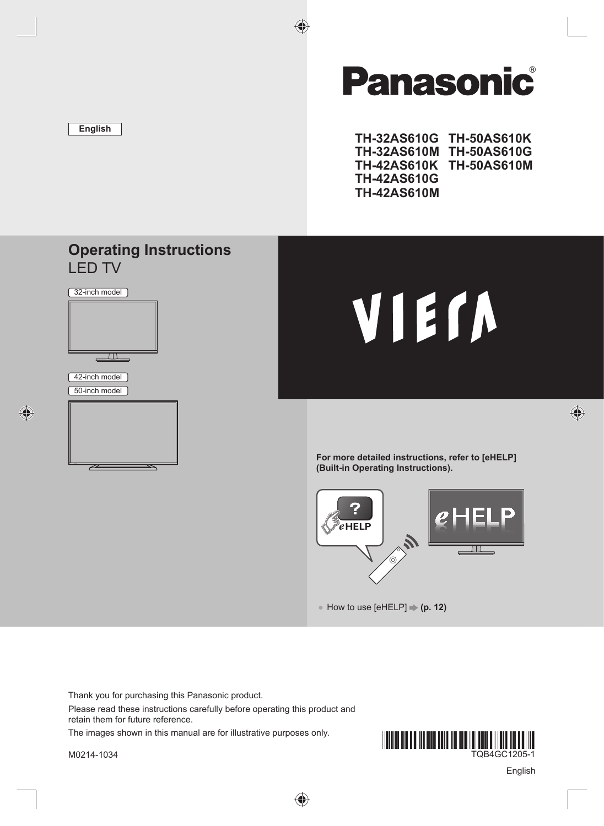

# **Panasonic**

€

**TH-32AS610G TH-50AS610K TH-32AS610M TH-50AS610G TH-42AS610K TH-50AS610M TH-42AS610G TH-42AS610M**

#### **Operating Instructions** LED TV





◈

# VIErn

**For more detailed instructions, refer to [eHELP] (Built-in Operating Instructions).**



● How to use [eHELP] **→ (p. 12)** 

Thank you for purchasing this Panasonic product. Please read these instructions carefully before operating this product and retain them for future reference.

◈

The images shown in this manual are for illustrative purposes only.

M0214-1034



English

 $\bigoplus$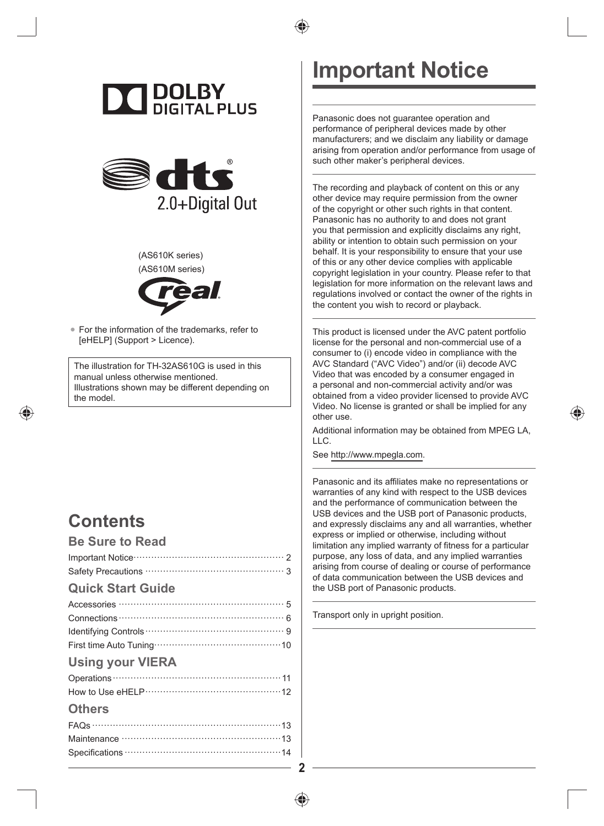





(AS610K series) (AS610M series)



● For the information of the trademarks, refer to [eHELP] (Support > Licence).

The illustration for TH-32AS610G is used in this manual unless otherwise mentioned. Illustrations shown may be different depending on the model.

### **Contents**

#### **Be Sure to Read**

| <b>Quick Start Guide</b> |
|--------------------------|
|                          |
|                          |
|                          |
|                          |
| <b>Using your VIERA</b>  |
|                          |
|                          |
| <b>Others</b>            |
|                          |
|                          |
|                          |

# **Important Notice**

Panasonic does not guarantee operation and performance of peripheral devices made by other manufacturers; and we disclaim any liability or damage arising from operation and/or performance from usage of such other maker's peripheral devices.

The recording and playback of content on this or any other device may require permission from the owner of the copyright or other such rights in that content. Panasonic has no authority to and does not grant you that permission and explicitly disclaims any right, ability or intention to obtain such permission on your behalf. It is your responsibility to ensure that your use of this or any other device complies with applicable copyright legislation in your country. Please refer to that legislation for more information on the relevant laws and regulations involved or contact the owner of the rights in the content you wish to record or playback.

This product is licensed under the AVC patent portfolio license for the personal and non-commercial use of a consumer to (i) encode video in compliance with the AVC Standard ("AVC Video") and/or (ii) decode AVC Video that was encoded by a consumer engaged in a personal and non-commercial activity and/or was obtained from a video provider licensed to provide AVC Video. No license is granted or shall be implied for any other use.

Additional information may be obtained from MPEG LA, LLC.

See http://www.mpegla.com.

Panasonic and its affiliates make no representations or warranties of any kind with respect to the USB devices and the performance of communication between the USB devices and the USB port of Panasonic products, and expressly disclaims any and all warranties, whether express or implied or otherwise, including without limitation any implied warranty of fitness for a particular purpose, any loss of data, and any implied warranties arising from course of dealing or course of performance of data communication between the USB devices and the USB port of Panasonic products.

Transport only in upright position.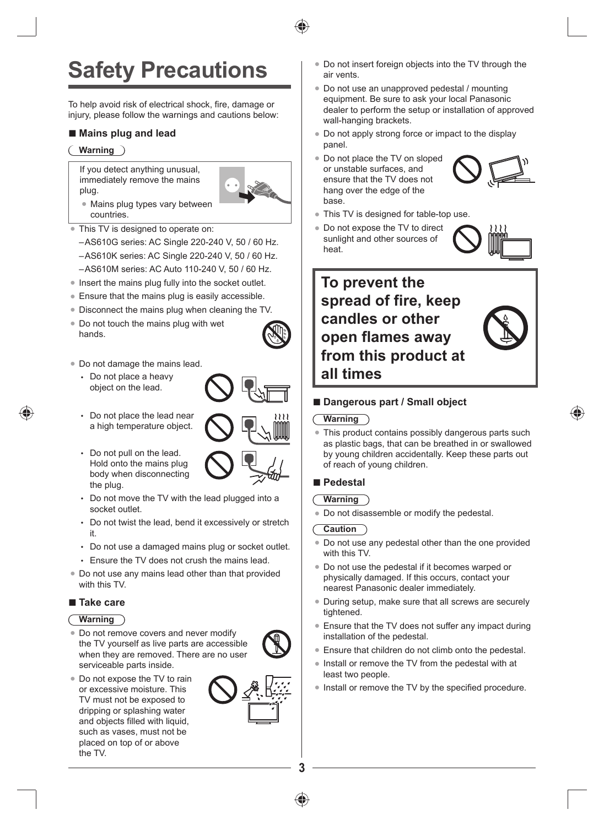**3**

# **Safety Precautions**

To help avoid risk of electrical shock, fire, damage or injury, please follow the warnings and cautions below:

#### ■ **Mains plug and lead**

#### **Warning**

If you detect anything unusual, immediately remove the mains plug.

- Mains plug types vary between countries.
- This TV is designed to operate on:
- –AS610G series: AC Single 220-240 V, 50 / 60 Hz.
- –AS610K series: AC Single 220-240 V, 50 / 60 Hz.
- –AS610M series: AC Auto 110-240 V, 50 / 60 Hz.
- Insert the mains plug fully into the socket outlet.
- Ensure that the mains plug is easily accessible.
- Disconnect the mains plug when cleaning the TV.
- Do not touch the mains plug with wet hands.
- Do not damage the mains lead.
	- Do not place a heavy object on the lead.
	- Do not place the lead near a high temperature object.
	- Do not pull on the lead. Hold onto the mains plug body when disconnecting the plug.
	- Do not move the TV with the lead plugged into a socket outlet.
	- Do not twist the lead, bend it excessively or stretch it.
	- Do not use a damaged mains plug or socket outlet.
	- Ensure the TV does not crush the mains lead.
- Do not use any mains lead other than that provided with this TV.

#### **■ Take care**

#### **Warning**

- Do not remove covers and never modify the TV yourself as live parts are accessible when they are removed. There are no user serviceable parts inside.
- Do not expose the TV to rain or excessive moisture. This TV must not be exposed to dripping or splashing water and objects filled with liquid, such as vases, must not be placed on top of or above the TV.
- Do not insert foreign objects into the TV through the air vents.
- Do not use an unapproved pedestal / mounting equipment. Be sure to ask your local Panasonic dealer to perform the setup or installation of approved wall-hanging brackets.
- Do not apply strong force or impact to the display panel.
- Do not place the TV on sloped or unstable surfaces, and ensure that the TV does not hang over the edge of the base.
- This TV is designed for table-top use.
- Do not expose the TV to direct sunlight and other sources of heat.



#### ■ **Dangerous part / Small object**

#### **Warning**

This product contains possibly dangerous parts such as plastic bags, that can be breathed in or swallowed by young children accidentally. Keep these parts out of reach of young children.

#### **■ Pedestal**

- **Warning**
- Do not disassemble or modify the pedestal.

#### **Caution**

- Do not use any pedestal other than the one provided with this TV.
- Do not use the pedestal if it becomes warped or physically damaged. If this occurs, contact your nearest Panasonic dealer immediately.
- During setup, make sure that all screws are securely tightened.
- Ensure that the TV does not suffer any impact during installation of the pedestal.
- Ensure that children do not climb onto the pedestal.
- Install or remove the TV from the pedestal with at least two people.
- Install or remove the TV by the specified procedure.
- 









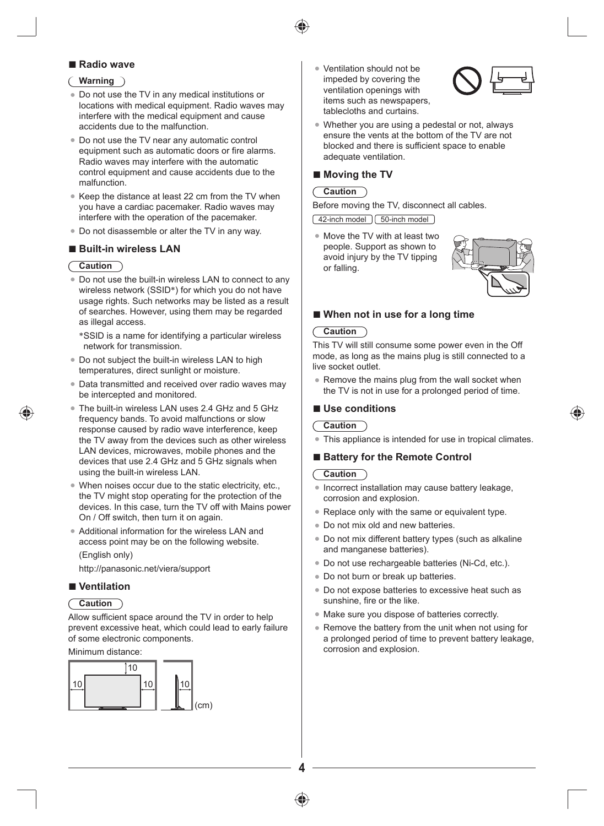

#### **■ Radio wave**

#### **Warning**

- Do not use the TV in any medical institutions or locations with medical equipment. Radio waves may interfere with the medical equipment and cause accidents due to the malfunction.
- Do not use the TV near any automatic control equipment such as automatic doors or fire alarms. Radio waves may interfere with the automatic control equipment and cause accidents due to the malfunction.
- Keep the distance at least 22 cm from the TV when you have a cardiac pacemaker. Radio waves may interfere with the operation of the pacemaker.
- Do not disassemble or alter the TV in any way.

#### **■ Built-in wireless LAN**

#### **Caution**

- Do not use the built-in wireless LAN to connect to any wireless network (SSID\*) for which you do not have usage rights. Such networks may be listed as a result of searches. However, using them may be regarded as illegal access.
	- \* SSID is a name for identifying a particular wireless network for transmission.
- Do not subject the built-in wireless LAN to high temperatures, direct sunlight or moisture.
- Data transmitted and received over radio waves may be intercepted and monitored.
- The built-in wireless LAN uses 2.4 GHz and 5 GHz frequency bands. To avoid malfunctions or slow response caused by radio wave interference, keep the TV away from the devices such as other wireless LAN devices, microwaves, mobile phones and the devices that use 2.4 GHz and 5 GHz signals when using the built-in wireless LAN.
- When noises occur due to the static electricity, etc., the TV might stop operating for the protection of the devices. In this case, turn the TV off with Mains power On / Off switch, then turn it on again.
- Additional information for the wireless LAN and access point may be on the following website. (English only)

http://panasonic.net/viera/support

#### **■ Ventilation**

#### **Caution**

Allow sufficient space around the TV in order to help prevent excessive heat, which could lead to early failure of some electronic components.

Minimum distance:



Ventilation should not be impeded by covering the ventilation openings with items such as newspapers, tablecloths and curtains.



● Whether you are using a pedestal or not, always ensure the vents at the bottom of the TV are not blocked and there is sufficient space to enable adequate ventilation.

#### ■ **Moving the TV**

#### **Caution**

Before moving the TV, disconnect all cables.

42-inch model | 50-inch model

● Move the TV with at least two people. Support as shown to avoid injury by the TV tipping or falling.



#### ■ **When not in use for a long time**

#### **Caution**

This TV will still consume some power even in the Off mode, as long as the mains plug is still connected to a live socket outlet.

Remove the mains plug from the wall socket when the TV is not in use for a prolonged period of time.

#### **■ Use conditions**

#### **Caution**

This appliance is intended for use in tropical climates.

#### ■ **Battery for the Remote Control**

#### **Caution**

- Incorrect installation may cause battery leakage, corrosion and explosion.
- Replace only with the same or equivalent type.
- Do not mix old and new batteries.
- Do not mix different battery types (such as alkaline and manganese batteries).
- Do not use rechargeable batteries (Ni-Cd, etc.).
- Do not burn or break up batteries.
- Do not expose batteries to excessive heat such as sunshine, fire or the like.
- Make sure you dispose of batteries correctly.
- Remove the battery from the unit when not using for a prolonged period of time to prevent battery leakage, corrosion and explosion.



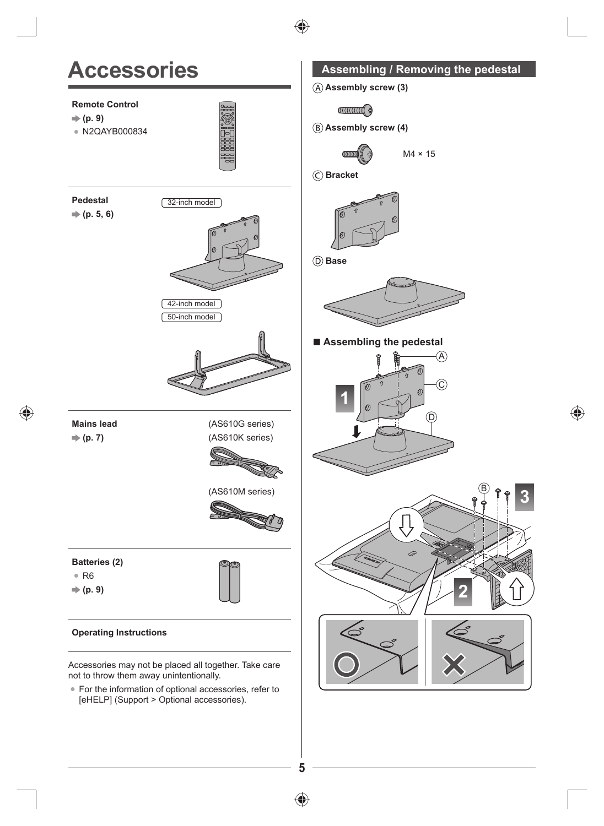

 $\bigoplus$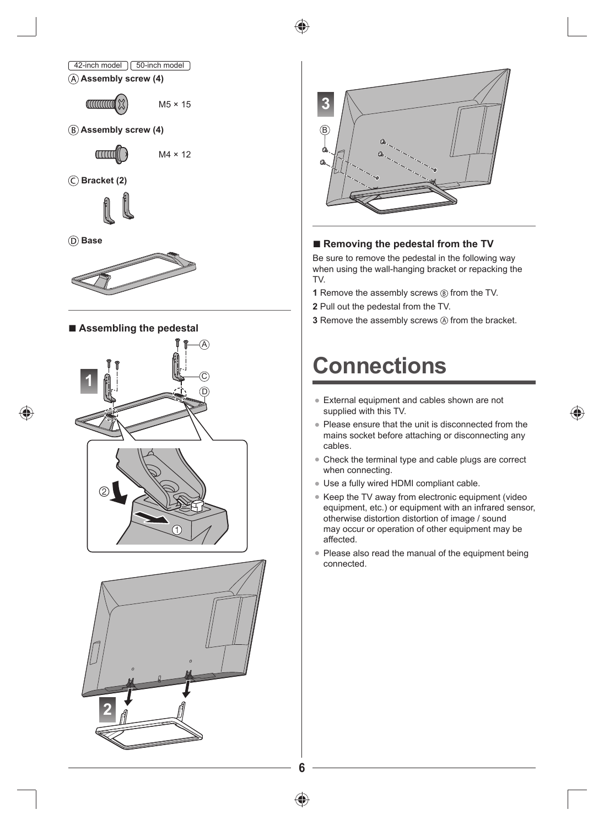





 **Assembly screw (4)**

aaadio

M4 × 12

 **Bracket (2)**



 **Base**



■ **Assembling the pedestal** 







#### **■ Removing the pedestal from the TV**

Be sure to remove the pedestal in the following way when using the wall-hanging bracket or repacking the TV.

- **1** Remove the assembly screws  $\circledR$  from the TV.
- **2** Pull out the pedestal from the TV.
- **3** Remove the assembly screws  $\oslash$  from the bracket.

# **Connections**

- External equipment and cables shown are not supplied with this TV.
- Please ensure that the unit is disconnected from the mains socket before attaching or disconnecting any cables.
- Check the terminal type and cable plugs are correct when connecting.
- Use a fully wired HDMI compliant cable.
- Keep the TV away from electronic equipment (video equipment, etc.) or equipment with an infrared sensor, otherwise distortion distortion of image / sound may occur or operation of other equipment may be affected.
- Please also read the manual of the equipment being connected.



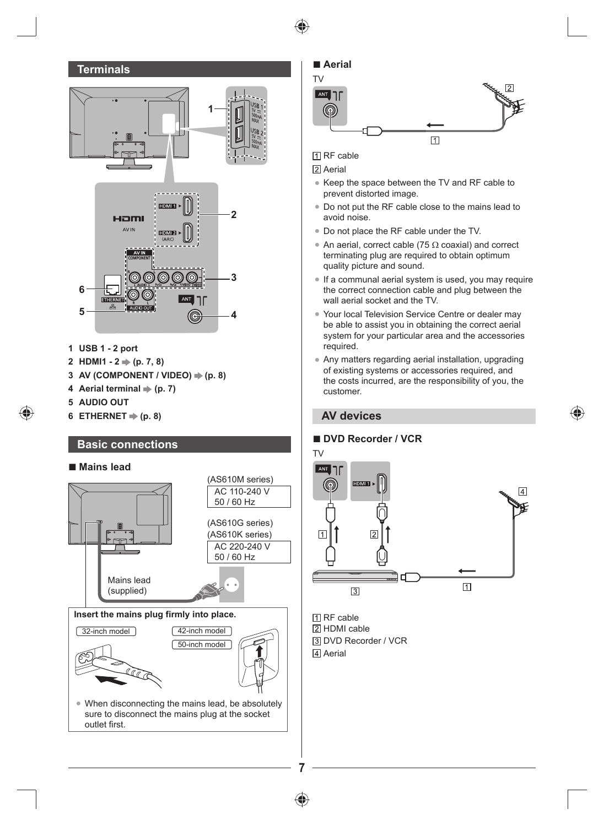



**Insert the mains plug firmly into place.**

⊕



sure to disconnect the mains plug at the socket outlet first.



**N** RF cable

2 Aerial

- Keep the space between the TV and RF cable to prevent distorted image.
- Do not put the RF cable close to the mains lead to avoid noise.
- Do not place the RF cable under the TV.
- An aerial, correct cable (75  $\Omega$  coaxial) and correct terminating plug are required to obtain optimum quality picture and sound.
- If a communal aerial system is used, you may require the correct connection cable and plug between the wall aerial socket and the TV.
- Your local Television Service Centre or dealer may be able to assist you in obtaining the correct aerial system for your particular area and the accessories required.
- Any matters regarding aerial installation, upgrading of existing systems or accessories required, and the costs incurred, are the responsibility of you, the customer.

#### **AV devices**

#### **■ DVD Recorder / VCR**



**N** RF cable 2 HDMI cable DVD Recorder / VCR **A**erial

**7**

⊕

⊕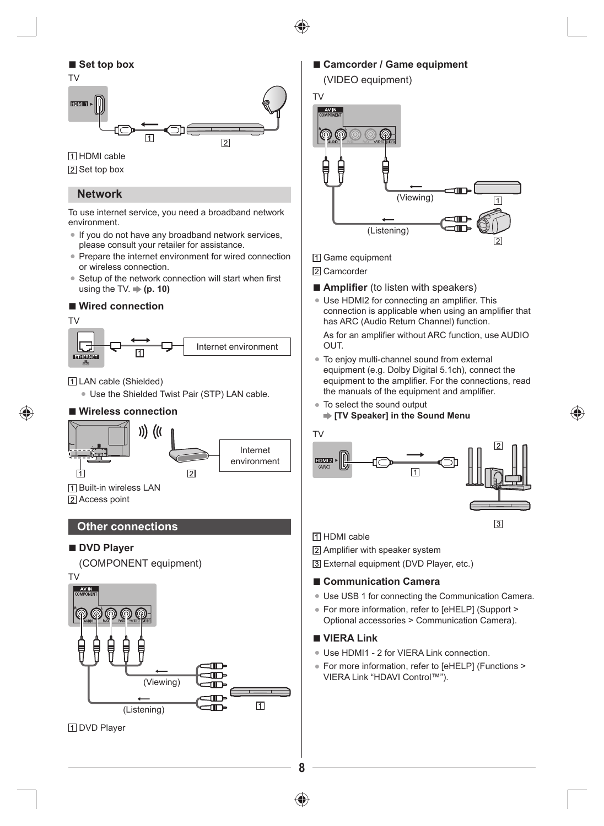

#### **■ Set top box**



**TT** HDMI cable

2 Set top box

#### **Network**

To use internet service, you need a broadband network environment.

- If you do not have any broadband network services, please consult your retailer for assistance.
- Prepare the internet environment for wired connection or wireless connection.
- Setup of the network connection will start when first using the TV.  $\Rightarrow$  (p. 10)

#### **■ Wired connection**

TV

♠



LAN cable (Shielded)

● Use the Shielded Twist Pair (STP) LAN cable.

#### **■ Wireless connection**



**TI Built-in wireless LAN** 2 Access point

#### **Other connections**

#### **■ DVD Player**

#### (COMPONENT equipment)



#### ■ Camcorder / Game equipment





1 Game equipment

- 2 Camcorder
- **Amplifier** (to listen with speakers)
- Use HDMI2 for connecting an amplifier. This connection is applicable when using an amplifier that has ARC (Audio Return Channel) function.

As for an amplifier without ARC function, use AUDIO OUT.

- To enjoy multi-channel sound from external equipment (e.g. Dolby Digital 5.1ch), connect the equipment to the amplifier. For the connections, read the manuals of the equipment and amplifier.
- To select the sound output
	- **[TV Speaker] in the Sound Menu**



**TI HDMI** cable

Amplifier with speaker system

External equipment (DVD Player, etc.)

#### **■ Communication Camera**

- Use USB 1 for connecting the Communication Camera.
- For more information, refer to [eHELP] (Support > Optional accessories > Communication Camera).

#### **■ VIERA Link**

**8**

- Use HDMI1 2 for VIERA Link connection.
- For more information, refer to [eHELP] (Functions > VIERA Link "HDAVI Control™").

⊕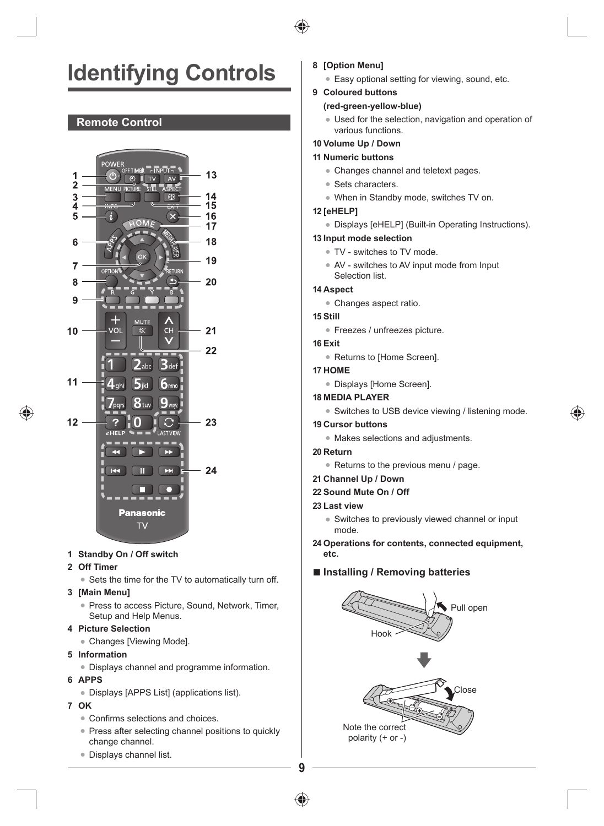# **Identifying Controls**

#### **Remote Control**



#### **1 Standby On / Off switch**

#### **2 Off Timer**

● Sets the time for the TV to automatically turn off.

#### **3 [Main Menu]**

● Press to access Picture, Sound, Network, Timer, Setup and Help Menus.

#### **4 Picture Selection**

- Changes [Viewing Mode].
- **5 Information**
	- Displays channel and programme information.
- **6 APPS**
	- Displays [APPS List] (applications list).

#### **7 OK**

- Confirms selections and choices.
- Press after selecting channel positions to quickly change channel.
- Displays channel list.
- **8 [Option Menu]**
	- Easy optional setting for viewing, sound, etc.

#### **9 Coloured buttons**

#### **(red-green-yellow-blue)**

- Used for the selection, navigation and operation of various functions.
- **10 Volume Up / Down**
- **11 Numeric buttons**
	- Changes channel and teletext pages.
	- Sets characters
	- When in Standby mode, switches TV on.

#### **12 [eHELP]**

● Displays [eHELP] (Built-in Operating Instructions).

#### **13 Input mode selection**

- TV switches to TV mode.
- AV switches to AV input mode from Input Selection list.

#### **14 Aspect**

● Changes aspect ratio.

#### **15 Still**

- Freezes / unfreezes picture.
- **16 Exit**
	- Returns to [Home Screen].

#### **17 HOME**

● Displays [Home Screen].

#### **18 MEDIA PLAYER**

● Switches to USB device viewing / listening mode.

#### **19 Cursor buttons**

- Makes selections and adjustments.
- **20 Return**
	- Returns to the previous menu / page.

#### **21 Channel Up / Down**

**22 Sound Mute On / Off**

#### **23 Last view**

- Switches to previously viewed channel or input mode.
- **24 Operations for contents, connected equipment, etc.**

#### **■ Installing / Removing batteries**







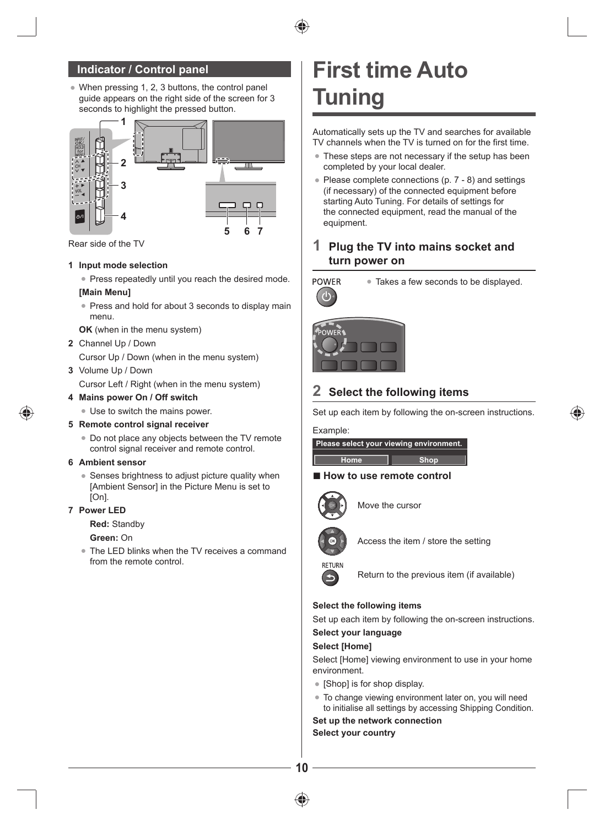#### **Indicator / Control panel**

● When pressing 1, 2, 3 buttons, the control panel guide appears on the right side of the screen for 3 seconds to highlight the pressed button.



Rear side of the TV

#### **1 Input mode selection**

● Press repeatedly until you reach the desired mode.

#### **[Main Menu]**

● Press and hold for about 3 seconds to display main menu.

**OK** (when in the menu system)

#### **2** Channel Up / Down

Cursor Up / Down (when in the menu system)

**3** Volume Up / Down

Cursor Left / Right (when in the menu system)

#### **4 Mains power On / Off switch**

● Use to switch the mains power.

- **5 Remote control signal receiver**
	- Do not place any objects between the TV remote control signal receiver and remote control.

#### **6 Ambient sensor**

• Senses brightness to adjust picture quality when [Ambient Sensor] in the Picture Menu is set to [On].

#### **7 Power LED**

**Red:** Standby

#### **Green:** On

The LED blinks when the TV receives a command from the remote control.

# **First time Auto Tuning**

Automatically sets up the TV and searches for available TV channels when the TV is turned on for the first time.

- These steps are not necessary if the setup has been completed by your local dealer.
- Please complete connections (p. 7 8) and settings (if necessary) of the connected equipment before starting Auto Tuning. For details of settings for the connected equipment, read the manual of the equipment.

#### **1 Plug the TV into mains socket and turn power on**



● Takes a few seconds to be displayed.



#### **2 Select the following items**

Set up each item by following the on-screen instructions.

#### Example:

|      | Please select your viewing environment. |
|------|-----------------------------------------|
|      |                                         |
| Home | <b>Shop</b>                             |

#### ■ **How to use remote control**



Move the cursor



Access the item / store the setting



Return to the previous item (if available)

#### **Select the following items**

Set up each item by following the on-screen instructions.

#### **Select your language Select [Home]**

Select [Home] viewing environment to use in your home environment.

- [Shop] is for shop display.
- To change viewing environment later on, you will need to initialise all settings by accessing Shipping Condition.

**Set up the network connection Select your country**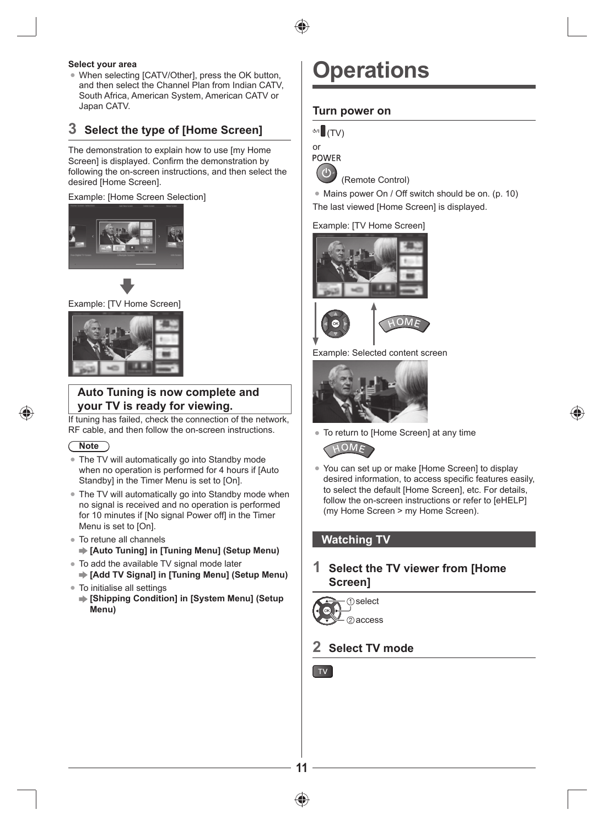

#### **Select your area**

When selecting [CATV/Other], press the OK button, and then select the Channel Plan from Indian CATV, South Africa, American System, American CATV or Japan CATV.

#### **3 Select the type of [Home Screen]**

The demonstration to explain how to use [my Home Screen] is displayed. Confirm the demonstration by following the on-screen instructions, and then select the desired [Home Screen].

#### Example: [Home Screen Selection]







#### **Auto Tuning is now complete and your TV is ready for viewing.**

If tuning has failed, check the connection of the network, RF cable, and then follow the on-screen instructions.

#### **Note**

- The TV will automatically go into Standby mode when no operation is performed for 4 hours if [Auto Standby] in the Timer Menu is set to [On].
- The TV will automatically go into Standby mode when no signal is received and no operation is performed for 10 minutes if [No signal Power off] in the Timer Menu is set to [On].
- To retune all channels **[Auto Tuning] in [Tuning Menu] (Setup Menu)**
- To add the available TV signal mode later **[Add TV Signal] in [Tuning Menu] (Setup Menu)**
- To initialise all settings
	- **[Shipping Condition] in [System Menu] (Setup Menu)**

## **Operations**

#### **Turn power on**



**POWER** 



(Remote Control)

● Mains power On / Off switch should be on. (p. 10) The last viewed [Home Screen] is displayed.

#### Example: [TV Home Screen]





Example: Selected content screen



● To return to [Home Screen] at any time



● You can set up or make [Home Screen] to display desired information, to access specific features easily, to select the default [Home Screen], etc. For details, follow the on-screen instructions or refer to [eHELP] (my Home Screen > my Home Screen).

#### **Watching TV**

#### **1 Select the TV viewer from [Home Screen]**



#### **2 Select TV mode**

TV



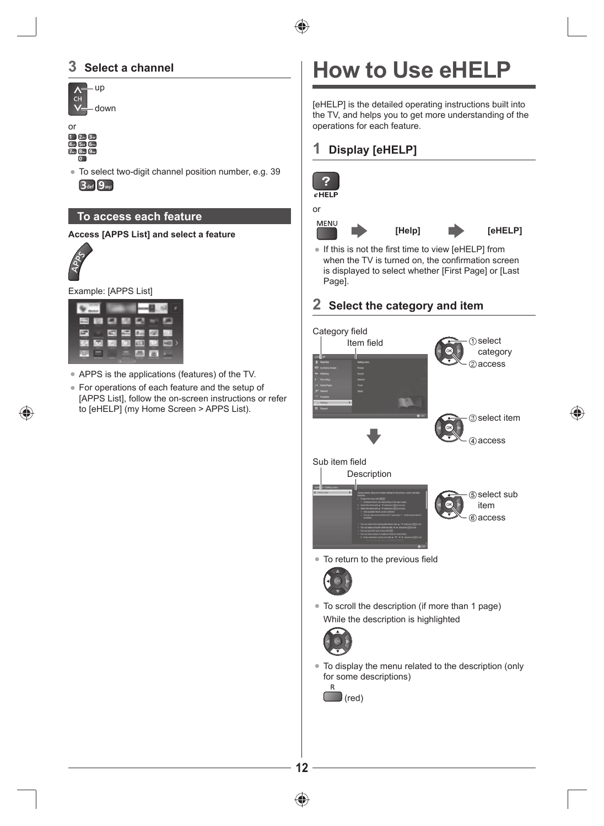#### **3 Select a channel**





● To select two-digit channel position number, e.g. 39 **3** def 9 ways

#### **To access each feature**

#### **Access [APPS List] and select a feature**



◈

Example: [APPS List]

|      |    | r.           | $2 - 3$        | 121        |  |
|------|----|--------------|----------------|------------|--|
| COL. | œ. | <b>I</b> LET | E <sub>1</sub> | <b>COL</b> |  |
|      |    | <b>WTW3</b>  |                |            |  |

- APPS is the applications (features) of the TV.
- For operations of each feature and the setup of [APPS List], follow the on-screen instructions or refer to [eHELP] (my Home Screen > APPS List).

# **How to Use eHELP**

[eHELP] is the detailed operating instructions built into the TV, and helps you to get more understanding of the operations for each feature.

#### **1 Display [eHELP]**



⊕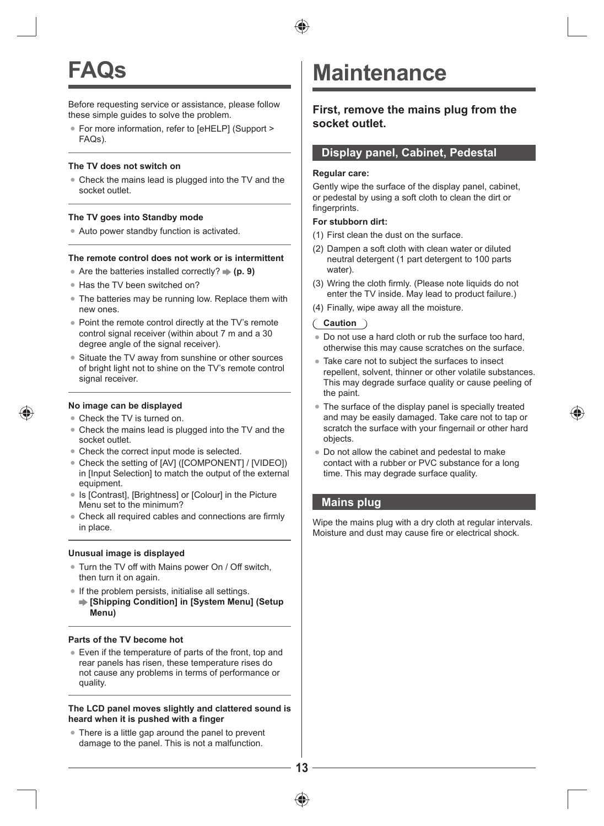

# **FAQs**

Before requesting service or assistance, please follow these simple guides to solve the problem.

● For more information, refer to [eHELP] (Support > FAQs).

#### **The TV does not switch on**

● Check the mains lead is plugged into the TV and the socket outlet.

#### **The TV goes into Standby mode**

● Auto power standby function is activated.

#### **The remote control does not work or is intermittent**

- Are the batteries installed correctly?  $\Rightarrow$  (p. 9)
- Has the TV been switched on?
- The batteries may be running low. Replace them with new ones.
- Point the remote control directly at the TV's remote control signal receiver (within about 7 m and a 30 degree angle of the signal receiver).
- Situate the TV away from sunshine or other sources of bright light not to shine on the TV's remote control signal receiver.

#### **No image can be displayed**

- Check the TV is turned on.
- Check the mains lead is plugged into the TV and the socket outlet.
- Check the correct input mode is selected.
- Check the setting of [AV] ([COMPONENT] / [VIDEO]) in [Input Selection] to match the output of the external equipment.
- Is [Contrast], [Brightness] or [Colour] in the Picture Menu set to the minimum?
- Check all required cables and connections are firmly in place.

#### **Unusual image is displayed**

- Turn the TV off with Mains power On / Off switch, then turn it on again.
- If the problem persists, initialise all settings. **[Shipping Condition] in [System Menu] (Setup Menu)**

#### **Parts of the TV become hot**

● Even if the temperature of parts of the front, top and rear panels has risen, these temperature rises do not cause any problems in terms of performance or quality.

#### **The LCD panel moves slightly and clattered sound is heard when it is pushed with a finger**

● There is a little gap around the panel to prevent damage to the panel. This is not a malfunction.

### **Maintenance**

#### **First, remove the mains plug from the socket outlet.**

#### **Display panel, Cabinet, Pedestal**

#### **Regular care:**

Gently wipe the surface of the display panel, cabinet, or pedestal by using a soft cloth to clean the dirt or fingerprints.

#### **For stubborn dirt:**

- (1) First clean the dust on the surface.
- (2) Dampen a soft cloth with clean water or diluted neutral detergent (1 part detergent to 100 parts water).
- (3) Wring the cloth firmly. (Please note liquids do not enter the TV inside. May lead to product failure.)
- (4) Finally, wipe away all the moisture.

#### **Caution**

- Do not use a hard cloth or rub the surface too hard, otherwise this may cause scratches on the surface.
- Take care not to subject the surfaces to insect repellent, solvent, thinner or other volatile substances. This may degrade surface quality or cause peeling of the paint.
- The surface of the display panel is specially treated and may be easily damaged. Take care not to tap or scratch the surface with your fingernail or other hard objects.
- Do not allow the cabinet and pedestal to make contact with a rubber or PVC substance for a long time. This may degrade surface quality.

#### **Mains plug**

Wipe the mains plug with a dry cloth at regular intervals. Moisture and dust may cause fire or electrical shock.



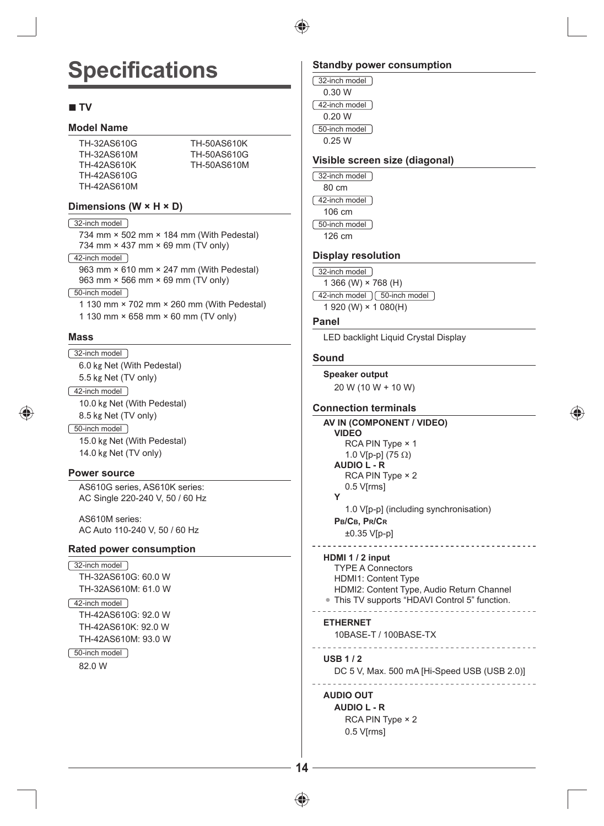

 $\overline{1}$  $\int$ 

# **Specifications**

#### **■ TV**

#### **Model Name**

TH-32AS610G TH-32AS610M TH-42AS610K TH-42AS610G TH-42AS610M TH-50AS610K TH-50AS610G TH-50AS610M

#### **Dimensions (W × H × D)**

#### 32-inch model

734 mm × 502 mm × 184 mm (With Pedestal) 734 mm × 437 mm × 69 mm (TV only)

#### [42-inch model]

963 mm × 610 mm × 247 mm (With Pedestal) 963 mm × 566 mm × 69 mm (TV only)

#### 50-inch model

1 130 mm × 702 mm × 260 mm (With Pedestal) 1 130 mm × 658 mm × 60 mm (TV only)

#### **Mass**

32-inch model 6.0 Net (With Pedestal) 5.5 kg Net (TV only) 42-inch model 10.0 Net (With Pedestal) 8.5 Net (TV only) 50-inch model 15.0 Net (With Pedestal) 14.0 Net (TV only)

#### **Power source**

AS610G series, AS610K series: AC Single 220-240 V, 50 / 60 Hz

AS610M series: AC Auto 110-240 V, 50 / 60 Hz

#### **Rated power consumption**

```
32-inch model
  TH-32AS610G: 60.0 W
  TH-32AS610M: 61.0 W
```
42-inch model TH-42AS610G: 92.0 W TH-42AS610K: 92.0 W TH-42AS610M: 93.0 W

50-inch model 82.0 W

#### **Standby power consumption**

| 32-inch model |
|---------------|
| 0.30 W        |
| 42-inch model |
| 0 20 W        |
| 50-inch model |
| 0 25 W        |

#### **Visible screen size (diagonal)**

32-inch model 80 cm 42-inch model 106 cm 50-inch model 126 cm

#### **Display resolution**

```
32-inch model
   1 366 (W) × 768 (H)
\sqrt{42}-inch model \sqrt{50}-inch model \sqrt{20}1 920 (W) × 1 080(H)
```
#### **Panel**

LED backlight Liquid Crystal Display

#### **Sound**

```
Speaker output
  20 W (10 W + 10 W)
```
#### **Connection terminals**

```
AV IN (COMPONENT / VIDEO)
  VIDEO
     RCA PIN Type × 1
     1.0 V[p-p] (75 \Omega)
  AUDIO L - R
     RCA PIN Type × 2
     0.5 V[rms]
  Y
     1.0 V[p-p] (including synchronisation)
  PB/CB, PR/CR
     ±0.35 V[p-p]
HDMI 1 / 2 input
  TYPE A Connectors
  HDMI1: Content Type
  HDMI2: Content Type, Audio Return Channel
● This TV supports "HDAVI Control 5" function.
  . . . . . . . . .
ETHERNET
  10BASE-T / 100BASE-TX
  ______________________
USB 1 / 2
  DC 5 V, Max. 500 mA [Hi-Speed USB (USB 2.0)]
```
#### 

**AUDIO OUT AUDIO L - R** RCA PIN Type × 2 0.5 V[rms]



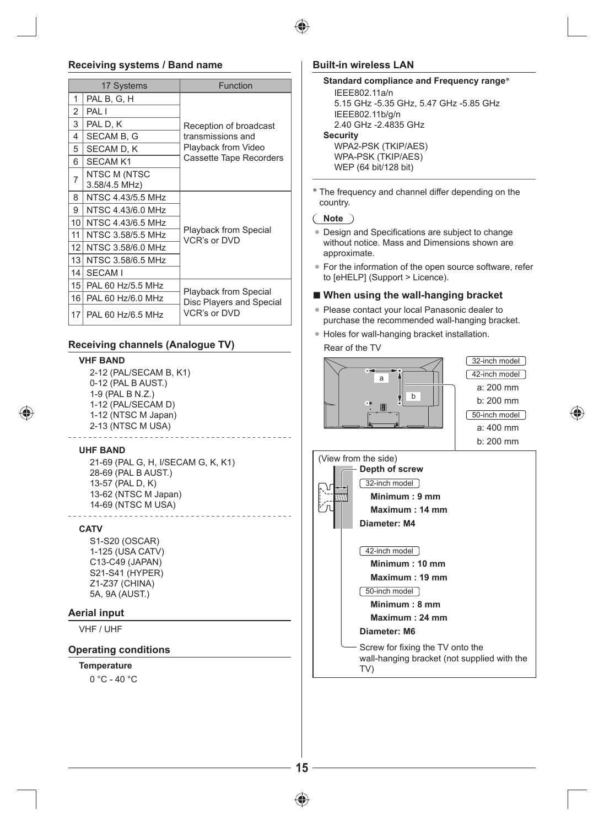

#### **Receiving systems / Band name**

|                 | 17 Systems                    | <b>Function</b>                       |  |
|-----------------|-------------------------------|---------------------------------------|--|
| 1               | PAL B, G, H                   |                                       |  |
| 2               | PAL I                         |                                       |  |
| 3               | PAL D, K                      | Reception of broadcast                |  |
| 4               | <b>SECAM B. G</b>             | transmissions and                     |  |
| 5               | SECAM D, K                    | Playback from Video                   |  |
| 6               | <b>SECAM K1</b>               | Cassette Tape Recorders               |  |
| $\overline{7}$  | NTSC M (NTSC<br>3.58/4.5 MHz) |                                       |  |
| 8               | NTSC 4.43/5.5 MHz             |                                       |  |
| 9               | NTSC 4.43/6.0 MHz             |                                       |  |
| 10 <sup>1</sup> | NTSC 4.43/6.5 MHz             |                                       |  |
| 11              | NTSC 3.58/5.5 MHz             | Playback from Special<br>VCR's or DVD |  |
| 12              | NTSC 3.58/6.0 MHz             |                                       |  |
| 13              | NTSC 3.58/6.5 MHz             |                                       |  |
| 14              | SECAM I                       |                                       |  |
| 15 <sup>1</sup> | PAL 60 Hz/5.5 MHz             | <b>Playback from Special</b>          |  |
| 16 <sup>1</sup> | PAL 60 Hz/6.0 MHz             | Disc Players and Special              |  |
|                 | 17 PAL 60 Hz/6.5 MHz          | VCR's or DVD                          |  |

#### **Receiving channels (Analogue TV)**

#### **VHF BAND**

2-12 (PAL/SECAM B, K1) 0-12 (PAL B AUST.) 1-9 (PAL B N.Z.) 1-12 (PAL/SECAM D) 1-12 (NTSC M Japan) 2-13 (NTSC M USA)

#### **UHF BAND**

◈

21-69 (PAL G, H, I/SECAM G, K, K1) 28-69 (PAL B AUST.) 13-57 (PAL D, K) 13-62 (NTSC M Japan) 14-69 (NTSC M USA)

#### **CATV**

S1-S20 (OSCAR) 1-125 (USA CATV) C13-C49 (JAPAN) S21-S41 (HYPER) Z1-Z37 (CHINA) 5A, 9A (AUST.)

#### **Aerial input**

VHF / UHF

#### **Operating conditions**

#### **Temperature**

0 °C - 40 °C

#### **Built-in wireless LAN**

```
Standard compliance and Frequency range*
  IEEE802.11a/n
  5.15 GHz -5.35 GHz, 5.47 GHz -5.85 GHz
  IEEE802.11b/g/n
  2.40 GHz -2.4835 GHz
Security
  WPA2-PSK (TKIP/AES)
  WPA-PSK (TKIP/AES)
  WEP (64 bit/128 bit)
```
\* The frequency and channel differ depending on the country.

#### **Note**

- Design and Specifications are subject to change without notice. Mass and Dimensions shown are approximate.
- For the information of the open source software, refer to [eHELP] (Support > Licence).

#### **■ When using the wall-hanging bracket**

- Please contact your local Panasonic dealer to purchase the recommended wall-hanging bracket.
- Holes for wall-hanging bracket installation.

#### Rear of the TV